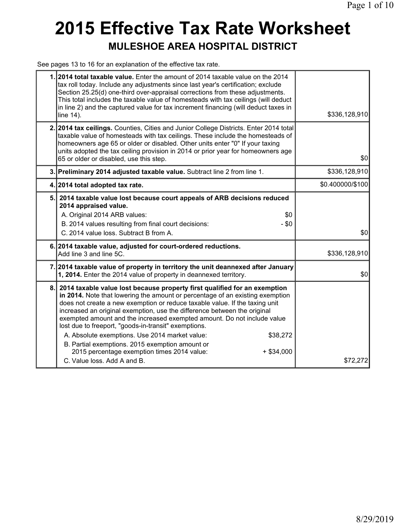# **2015 Effective Tax Rate Worksheet MULESHOE AREA HOSPITAL DISTRICT**

See pages 13 to 16 for an explanation of the effective tax rate.

|    | 1.2014 total taxable value. Enter the amount of 2014 taxable value on the 2014<br>tax roll today. Include any adjustments since last year's certification; exclude<br>Section 25.25(d) one-third over-appraisal corrections from these adjustments.<br>This total includes the taxable value of homesteads with tax ceilings (will deduct<br>in line 2) and the captured value for tax increment financing (will deduct taxes in<br>line 14).                                                                                                                                                                                                                           | \$336,128,910    |
|----|-------------------------------------------------------------------------------------------------------------------------------------------------------------------------------------------------------------------------------------------------------------------------------------------------------------------------------------------------------------------------------------------------------------------------------------------------------------------------------------------------------------------------------------------------------------------------------------------------------------------------------------------------------------------------|------------------|
|    | 2. 2014 tax ceilings. Counties, Cities and Junior College Districts. Enter 2014 total<br>taxable value of homesteads with tax ceilings. These include the homesteads of<br>homeowners age 65 or older or disabled. Other units enter "0" If your taxing<br>units adopted the tax ceiling provision in 2014 or prior year for homeowners age<br>65 or older or disabled, use this step.                                                                                                                                                                                                                                                                                  | \$0              |
|    | 3. Preliminary 2014 adjusted taxable value. Subtract line 2 from line 1.                                                                                                                                                                                                                                                                                                                                                                                                                                                                                                                                                                                                | \$336,128,910    |
|    | 4. 2014 total adopted tax rate.                                                                                                                                                                                                                                                                                                                                                                                                                                                                                                                                                                                                                                         | \$0.400000/\$100 |
|    | 5. 2014 taxable value lost because court appeals of ARB decisions reduced<br>2014 appraised value.<br>A. Original 2014 ARB values:<br>\$0<br>$-$ \$0<br>B. 2014 values resulting from final court decisions:<br>C. 2014 value loss. Subtract B from A.                                                                                                                                                                                                                                                                                                                                                                                                                  | \$0              |
|    | 6. 2014 taxable value, adjusted for court-ordered reductions.<br>Add line 3 and line 5C.                                                                                                                                                                                                                                                                                                                                                                                                                                                                                                                                                                                | \$336,128,910    |
|    | 7. 2014 taxable value of property in territory the unit deannexed after January<br>1, 2014. Enter the 2014 value of property in deannexed territory.                                                                                                                                                                                                                                                                                                                                                                                                                                                                                                                    | \$0              |
| 8. | 2014 taxable value lost because property first qualified for an exemption<br>in 2014. Note that lowering the amount or percentage of an existing exemption<br>does not create a new exemption or reduce taxable value. If the taxing unit<br>increased an original exemption, use the difference between the original<br>exempted amount and the increased exempted amount. Do not include value<br>lost due to freeport, "goods-in-transit" exemptions.<br>A. Absolute exemptions. Use 2014 market value:<br>\$38,272<br>B. Partial exemptions. 2015 exemption amount or<br>2015 percentage exemption times 2014 value:<br>$+$ \$34,000<br>C. Value loss, Add A and B. | \$72,272         |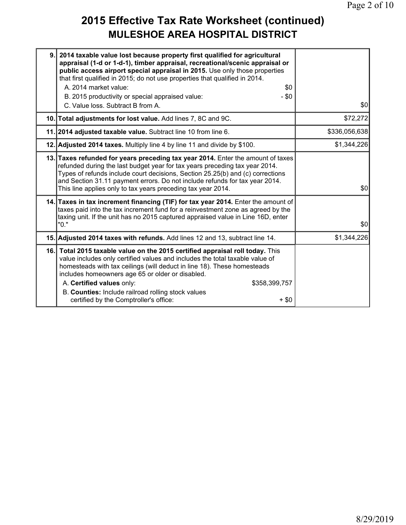#### **2015 Effective Tax Rate Worksheet (continued) MULESHOE AREA HOSPITAL DISTRICT**

| appraisal (1-d or 1-d-1), timber appraisal, recreational/scenic appraisal or<br>public access airport special appraisal in 2015. Use only those properties<br>that first qualified in 2015; do not use properties that qualified in 2014.<br>A. 2014 market value:<br>\$0<br>- \$0<br>B. 2015 productivity or special appraised value:<br>C. Value loss. Subtract B from A. | \$0                                                                                                                                                                                                                                                                                                                                                                                                                                                                                                                                                                                                                                  |
|-----------------------------------------------------------------------------------------------------------------------------------------------------------------------------------------------------------------------------------------------------------------------------------------------------------------------------------------------------------------------------|--------------------------------------------------------------------------------------------------------------------------------------------------------------------------------------------------------------------------------------------------------------------------------------------------------------------------------------------------------------------------------------------------------------------------------------------------------------------------------------------------------------------------------------------------------------------------------------------------------------------------------------|
|                                                                                                                                                                                                                                                                                                                                                                             | \$72,272                                                                                                                                                                                                                                                                                                                                                                                                                                                                                                                                                                                                                             |
|                                                                                                                                                                                                                                                                                                                                                                             | \$336,056,638                                                                                                                                                                                                                                                                                                                                                                                                                                                                                                                                                                                                                        |
|                                                                                                                                                                                                                                                                                                                                                                             | \$1,344,226                                                                                                                                                                                                                                                                                                                                                                                                                                                                                                                                                                                                                          |
| refunded during the last budget year for tax years preceding tax year 2014.<br>Types of refunds include court decisions, Section 25.25(b) and (c) corrections<br>and Section 31.11 payment errors. Do not include refunds for tax year 2014.<br>This line applies only to tax years preceding tax year 2014.                                                                | \$0                                                                                                                                                                                                                                                                                                                                                                                                                                                                                                                                                                                                                                  |
| taxes paid into the tax increment fund for a reinvestment zone as agreed by the<br>taxing unit. If the unit has no 2015 captured appraised value in Line 16D, enter<br>"0."                                                                                                                                                                                                 | \$0                                                                                                                                                                                                                                                                                                                                                                                                                                                                                                                                                                                                                                  |
|                                                                                                                                                                                                                                                                                                                                                                             | \$1,344,226                                                                                                                                                                                                                                                                                                                                                                                                                                                                                                                                                                                                                          |
| value includes only certified values and includes the total taxable value of<br>homesteads with tax ceilings (will deduct in line 18). These homesteads<br>includes homeowners age 65 or older or disabled.<br>A. Certified values only:<br>\$358,399,757<br>B. Counties: Include railroad rolling stock values<br>certified by the Comptroller's office:<br>$+$ \$0        |                                                                                                                                                                                                                                                                                                                                                                                                                                                                                                                                                                                                                                      |
|                                                                                                                                                                                                                                                                                                                                                                             | 9. 2014 taxable value lost because property first qualified for agricultural<br>10. Total adjustments for lost value. Add lines 7, 8C and 9C.<br>11. 2014 adjusted taxable value. Subtract line 10 from line 6.<br>12. Adjusted 2014 taxes. Multiply line 4 by line 11 and divide by \$100.<br>13. Taxes refunded for years preceding tax year 2014. Enter the amount of taxes<br>14. Taxes in tax increment financing (TIF) for tax year 2014. Enter the amount of<br>15. Adjusted 2014 taxes with refunds. Add lines 12 and 13, subtract line 14.<br>16. Total 2015 taxable value on the 2015 certified appraisal roll today. This |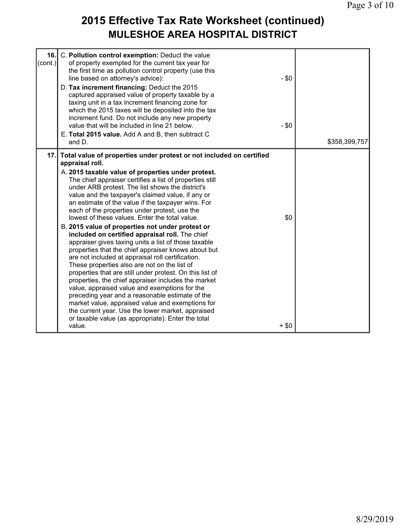### **2015 Effective Tax Rate Worksheet (continued) MULESHOE AREA HOSPITAL DISTRICT**

| 16.<br>$\text{(cont.)}$ | C. Pollution control exemption: Deduct the value<br>of property exempted for the current tax year for<br>the first time as pollution control property (use this<br>line based on attorney's advice):<br>D. Tax increment financing: Deduct the 2015<br>captured appraised value of property taxable by a<br>taxing unit in a tax increment financing zone for<br>which the 2015 taxes will be deposited into the tax<br>increment fund. Do not include any new property<br>value that will be included in line 21 below.<br>E. Total 2015 value. Add A and B, then subtract C                                                                                                                                                                                                                                                                                                                                                                                                                                                                                                                                                                                                                          | $-$ \$0<br>$- $0$ |               |
|-------------------------|--------------------------------------------------------------------------------------------------------------------------------------------------------------------------------------------------------------------------------------------------------------------------------------------------------------------------------------------------------------------------------------------------------------------------------------------------------------------------------------------------------------------------------------------------------------------------------------------------------------------------------------------------------------------------------------------------------------------------------------------------------------------------------------------------------------------------------------------------------------------------------------------------------------------------------------------------------------------------------------------------------------------------------------------------------------------------------------------------------------------------------------------------------------------------------------------------------|-------------------|---------------|
|                         | and D.                                                                                                                                                                                                                                                                                                                                                                                                                                                                                                                                                                                                                                                                                                                                                                                                                                                                                                                                                                                                                                                                                                                                                                                                 |                   | \$358,399,757 |
| 17.1                    | Total value of properties under protest or not included on certified<br>appraisal roll.<br>A. 2015 taxable value of properties under protest.<br>The chief appraiser certifies a list of properties still<br>under ARB protest. The list shows the district's<br>value and the taxpayer's claimed value, if any or<br>an estimate of the value if the taxpayer wins. For<br>each of the properties under protest, use the<br>lowest of these values. Enter the total value.<br>B. 2015 value of properties not under protest or<br>included on certified appraisal roll. The chief<br>appraiser gives taxing units a list of those taxable<br>properties that the chief appraiser knows about but<br>are not included at appraisal roll certification.<br>These properties also are not on the list of<br>properties that are still under protest. On this list of<br>properties, the chief appraiser includes the market<br>value, appraised value and exemptions for the<br>preceding year and a reasonable estimate of the<br>market value, appraised value and exemptions for<br>the current year. Use the lower market, appraised<br>or taxable value (as appropriate). Enter the total<br>value. | \$0<br>$+$ \$0    |               |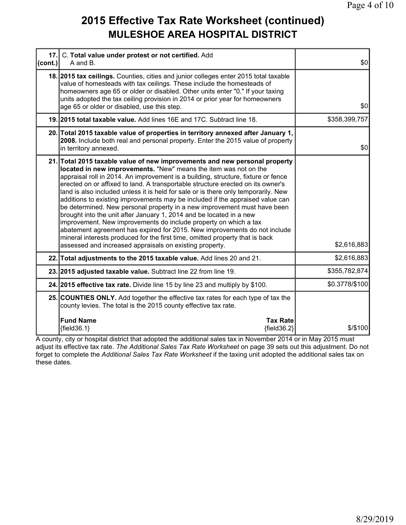#### **2015 Effective Tax Rate Worksheet (continued) MULESHOE AREA HOSPITAL DISTRICT**

| 17.<br>(cont.) | C. Total value under protest or not certified. Add<br>A and B.                                                                                                                                                                                                                                                                                                                                                                                                                                                                                                                                                                                                                                                                                                                                                                                                                                                                               | \$0            |
|----------------|----------------------------------------------------------------------------------------------------------------------------------------------------------------------------------------------------------------------------------------------------------------------------------------------------------------------------------------------------------------------------------------------------------------------------------------------------------------------------------------------------------------------------------------------------------------------------------------------------------------------------------------------------------------------------------------------------------------------------------------------------------------------------------------------------------------------------------------------------------------------------------------------------------------------------------------------|----------------|
|                | 18. 2015 tax cellings. Counties, cities and junior colleges enter 2015 total taxable<br>value of homesteads with tax ceilings. These include the homesteads of<br>homeowners age 65 or older or disabled. Other units enter "0." If your taxing<br>units adopted the tax ceiling provision in 2014 or prior year for homeowners<br>age 65 or older or disabled, use this step.                                                                                                                                                                                                                                                                                                                                                                                                                                                                                                                                                               | 30             |
|                | 19. 2015 total taxable value. Add lines 16E and 17C. Subtract line 18.                                                                                                                                                                                                                                                                                                                                                                                                                                                                                                                                                                                                                                                                                                                                                                                                                                                                       | \$358,399,757  |
|                | 20. Total 2015 taxable value of properties in territory annexed after January 1,<br>2008. Include both real and personal property. Enter the 2015 value of property<br>in territory annexed.                                                                                                                                                                                                                                                                                                                                                                                                                                                                                                                                                                                                                                                                                                                                                 | \$0            |
|                | 21. Total 2015 taxable value of new improvements and new personal property<br>located in new improvements. "New" means the item was not on the<br>appraisal roll in 2014. An improvement is a building, structure, fixture or fence<br>erected on or affixed to land. A transportable structure erected on its owner's<br>land is also included unless it is held for sale or is there only temporarily. New<br>additions to existing improvements may be included if the appraised value can<br>be determined. New personal property in a new improvement must have been<br>brought into the unit after January 1, 2014 and be located in a new<br>improvement. New improvements do include property on which a tax<br>abatement agreement has expired for 2015. New improvements do not include<br>mineral interests produced for the first time, omitted property that is back<br>assessed and increased appraisals on existing property. | \$2,616,883    |
|                | 22. Total adjustments to the 2015 taxable value. Add lines 20 and 21.                                                                                                                                                                                                                                                                                                                                                                                                                                                                                                                                                                                                                                                                                                                                                                                                                                                                        | \$2,616,883    |
|                | 23. 2015 adjusted taxable value. Subtract line 22 from line 19.                                                                                                                                                                                                                                                                                                                                                                                                                                                                                                                                                                                                                                                                                                                                                                                                                                                                              | \$355,782,874  |
|                | 24. 2015 effective tax rate. Divide line 15 by line 23 and multiply by \$100.                                                                                                                                                                                                                                                                                                                                                                                                                                                                                                                                                                                                                                                                                                                                                                                                                                                                | \$0.3778/\$100 |
|                | 25. COUNTIES ONLY. Add together the effective tax rates for each type of tax the<br>county levies. The total is the 2015 county effective tax rate.                                                                                                                                                                                                                                                                                                                                                                                                                                                                                                                                                                                                                                                                                                                                                                                          |                |
|                | <b>Fund Name</b><br><b>Tax Rate</b><br>${field36.1}$<br>${field36.2}$                                                                                                                                                                                                                                                                                                                                                                                                                                                                                                                                                                                                                                                                                                                                                                                                                                                                        | \$/\$100       |

A county, city or hospital district that adopted the additional sales tax in November 2014 or in May 2015 must adjust its effective tax rate. *The Additional Sales Tax Rate Worksheet* on page 39 sets out this adjustment. Do not forget to complete the *Additional Sales Tax Rate Worksheet* if the taxing unit adopted the additional sales tax on these dates.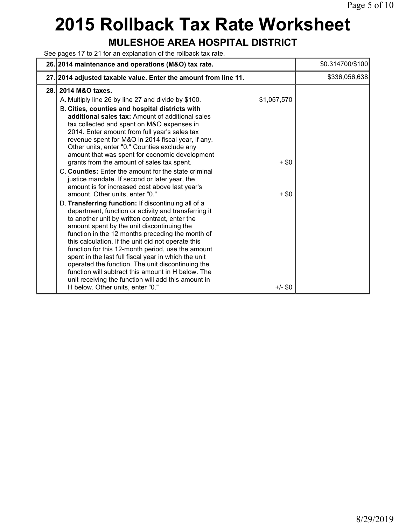# **2015 Rollback Tax Rate Worksheet**

#### **MULESHOE AREA HOSPITAL DISTRICT**

See pages 17 to 21 for an explanation of the rollback tax rate.

|      | 26. 2014 maintenance and operations (M&O) tax rate.                                                                                                                                                                                                                                                                                                                                                                                                                                                                                                                                                                                                                                                                                                                                                                                                                                                                                                                                                                                                                                                                                                                                                                                                                                                                          |                                                | \$0.314700/\$100 |
|------|------------------------------------------------------------------------------------------------------------------------------------------------------------------------------------------------------------------------------------------------------------------------------------------------------------------------------------------------------------------------------------------------------------------------------------------------------------------------------------------------------------------------------------------------------------------------------------------------------------------------------------------------------------------------------------------------------------------------------------------------------------------------------------------------------------------------------------------------------------------------------------------------------------------------------------------------------------------------------------------------------------------------------------------------------------------------------------------------------------------------------------------------------------------------------------------------------------------------------------------------------------------------------------------------------------------------------|------------------------------------------------|------------------|
|      | 27. 2014 adjusted taxable value. Enter the amount from line 11.                                                                                                                                                                                                                                                                                                                                                                                                                                                                                                                                                                                                                                                                                                                                                                                                                                                                                                                                                                                                                                                                                                                                                                                                                                                              |                                                | \$336,056,638    |
| 28.1 | 2014 M&O taxes.<br>A. Multiply line 26 by line 27 and divide by \$100.<br>B. Cities, counties and hospital districts with<br>additional sales tax: Amount of additional sales<br>tax collected and spent on M&O expenses in<br>2014. Enter amount from full year's sales tax<br>revenue spent for M&O in 2014 fiscal year, if any.<br>Other units, enter "0." Counties exclude any<br>amount that was spent for economic development<br>grants from the amount of sales tax spent.<br>C. Counties: Enter the amount for the state criminal<br>justice mandate. If second or later year, the<br>amount is for increased cost above last year's<br>amount. Other units, enter "0."<br>D. Transferring function: If discontinuing all of a<br>department, function or activity and transferring it<br>to another unit by written contract, enter the<br>amount spent by the unit discontinuing the<br>function in the 12 months preceding the month of<br>this calculation. If the unit did not operate this<br>function for this 12-month period, use the amount<br>spent in the last full fiscal year in which the unit<br>operated the function. The unit discontinuing the<br>function will subtract this amount in H below. The<br>unit receiving the function will add this amount in<br>H below. Other units, enter "0." | \$1,057,570<br>$+$ \$0<br>$+$ \$0<br>$+/-$ \$0 |                  |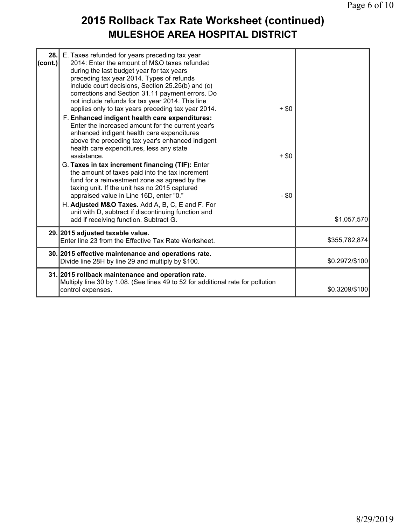### **2015 Rollback Tax Rate Worksheet (continued) MULESHOE AREA HOSPITAL DISTRICT**

| 28.<br>(cont.) | E. Taxes refunded for years preceding tax year<br>2014: Enter the amount of M&O taxes refunded<br>during the last budget year for tax years<br>preceding tax year 2014. Types of refunds<br>include court decisions, Section 25.25(b) and (c)<br>corrections and Section 31.11 payment errors. Do<br>not include refunds for tax year 2014. This line<br>applies only to tax years preceding tax year 2014.<br>F. Enhanced indigent health care expenditures:<br>Enter the increased amount for the current year's<br>enhanced indigent health care expenditures<br>above the preceding tax year's enhanced indigent<br>health care expenditures, less any state<br>assistance.<br>G. Taxes in tax increment financing (TIF): Enter<br>the amount of taxes paid into the tax increment<br>fund for a reinvestment zone as agreed by the<br>taxing unit. If the unit has no 2015 captured<br>appraised value in Line 16D, enter "0."<br>H. Adjusted M&O Taxes. Add A, B, C, E and F. For<br>unit with D, subtract if discontinuing function and<br>add if receiving function. Subtract G. | $+$ \$0<br>$+ $0$<br>$- $0$ | \$1,057,570    |
|----------------|------------------------------------------------------------------------------------------------------------------------------------------------------------------------------------------------------------------------------------------------------------------------------------------------------------------------------------------------------------------------------------------------------------------------------------------------------------------------------------------------------------------------------------------------------------------------------------------------------------------------------------------------------------------------------------------------------------------------------------------------------------------------------------------------------------------------------------------------------------------------------------------------------------------------------------------------------------------------------------------------------------------------------------------------------------------------------------------|-----------------------------|----------------|
|                | 29. 2015 adjusted taxable value.                                                                                                                                                                                                                                                                                                                                                                                                                                                                                                                                                                                                                                                                                                                                                                                                                                                                                                                                                                                                                                                         |                             |                |
|                | Enter line 23 from the Effective Tax Rate Worksheet.                                                                                                                                                                                                                                                                                                                                                                                                                                                                                                                                                                                                                                                                                                                                                                                                                                                                                                                                                                                                                                     |                             | \$355,782,874  |
|                | 30. 2015 effective maintenance and operations rate.<br>Divide line 28H by line 29 and multiply by \$100.                                                                                                                                                                                                                                                                                                                                                                                                                                                                                                                                                                                                                                                                                                                                                                                                                                                                                                                                                                                 |                             | \$0.2972/\$100 |
|                | 31. 2015 rollback maintenance and operation rate.<br>Multiply line 30 by 1.08. (See lines 49 to 52 for additional rate for pollution<br>control expenses.                                                                                                                                                                                                                                                                                                                                                                                                                                                                                                                                                                                                                                                                                                                                                                                                                                                                                                                                |                             | \$0.3209/\$100 |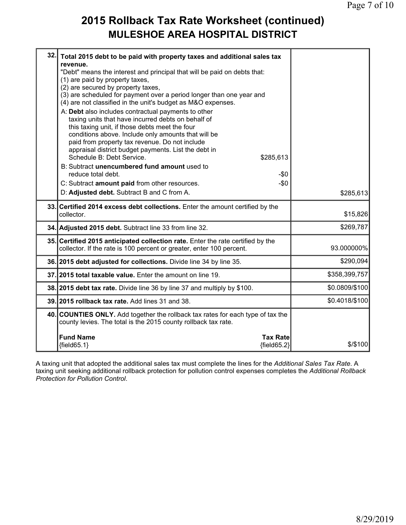#### **2015 Rollback Tax Rate Worksheet (continued) MULESHOE AREA HOSPITAL DISTRICT**

| 32. | Total 2015 debt to be paid with property taxes and additional sales tax<br>revenue.<br>"Debt" means the interest and principal that will be paid on debts that:<br>(1) are paid by property taxes,<br>(2) are secured by property taxes,<br>(3) are scheduled for payment over a period longer than one year and<br>(4) are not classified in the unit's budget as M&O expenses.<br>A: Debt also includes contractual payments to other<br>taxing units that have incurred debts on behalf of<br>this taxing unit, if those debts meet the four<br>conditions above. Include only amounts that will be<br>paid from property tax revenue. Do not include<br>appraisal district budget payments. List the debt in |                |
|-----|------------------------------------------------------------------------------------------------------------------------------------------------------------------------------------------------------------------------------------------------------------------------------------------------------------------------------------------------------------------------------------------------------------------------------------------------------------------------------------------------------------------------------------------------------------------------------------------------------------------------------------------------------------------------------------------------------------------|----------------|
|     | Schedule B: Debt Service.<br>\$285,613                                                                                                                                                                                                                                                                                                                                                                                                                                                                                                                                                                                                                                                                           |                |
|     | B: Subtract unencumbered fund amount used to<br>reduce total debt.<br>$-50$                                                                                                                                                                                                                                                                                                                                                                                                                                                                                                                                                                                                                                      |                |
|     | C: Subtract amount paid from other resources.<br>$-\$0$                                                                                                                                                                                                                                                                                                                                                                                                                                                                                                                                                                                                                                                          |                |
|     | D: Adjusted debt. Subtract B and C from A.                                                                                                                                                                                                                                                                                                                                                                                                                                                                                                                                                                                                                                                                       | \$285,613      |
|     | 33. Certified 2014 excess debt collections. Enter the amount certified by the<br>collector.                                                                                                                                                                                                                                                                                                                                                                                                                                                                                                                                                                                                                      | \$15,826       |
|     | 34. Adjusted 2015 debt. Subtract line 33 from line 32.                                                                                                                                                                                                                                                                                                                                                                                                                                                                                                                                                                                                                                                           | \$269,787      |
|     | 35. Certified 2015 anticipated collection rate. Enter the rate certified by the<br>collector. If the rate is 100 percent or greater, enter 100 percent.                                                                                                                                                                                                                                                                                                                                                                                                                                                                                                                                                          | 93.000000%     |
|     | 36. 2015 debt adjusted for collections. Divide line 34 by line 35.                                                                                                                                                                                                                                                                                                                                                                                                                                                                                                                                                                                                                                               | \$290,094      |
|     | 37. 2015 total taxable value. Enter the amount on line 19.                                                                                                                                                                                                                                                                                                                                                                                                                                                                                                                                                                                                                                                       | \$358,399,757  |
|     | 38. 2015 debt tax rate. Divide line 36 by line 37 and multiply by \$100.                                                                                                                                                                                                                                                                                                                                                                                                                                                                                                                                                                                                                                         | \$0.0809/\$100 |
|     | 39. 2015 rollback tax rate. Add lines 31 and 38.                                                                                                                                                                                                                                                                                                                                                                                                                                                                                                                                                                                                                                                                 | \$0.4018/\$100 |
|     | 40. COUNTIES ONLY. Add together the rollback tax rates for each type of tax the<br>county levies. The total is the 2015 county rollback tax rate.                                                                                                                                                                                                                                                                                                                                                                                                                                                                                                                                                                |                |
|     | <b>Fund Name</b><br><b>Tax Rate</b><br>${fields 5.1}$<br>${fields2}$                                                                                                                                                                                                                                                                                                                                                                                                                                                                                                                                                                                                                                             | \$/\$100       |

A taxing unit that adopted the additional sales tax must complete the lines for the *Additional Sales Tax Rate*. A taxing unit seeking additional rollback protection for pollution control expenses completes the *Additional Rollback Protection for Pollution Control*.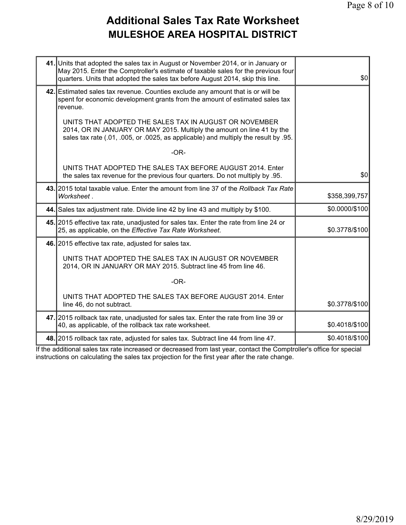## **Additional Sales Tax Rate Worksheet MULESHOE AREA HOSPITAL DISTRICT**

| 41. Units that adopted the sales tax in August or November 2014, or in January or<br>May 2015. Enter the Comptroller's estimate of taxable sales for the previous four<br>quarters. Units that adopted the sales tax before August 2014, skip this line. | \$0            |
|----------------------------------------------------------------------------------------------------------------------------------------------------------------------------------------------------------------------------------------------------------|----------------|
| 42. Estimated sales tax revenue. Counties exclude any amount that is or will be<br>spent for economic development grants from the amount of estimated sales tax<br>revenue.                                                                              |                |
| UNITS THAT ADOPTED THE SALES TAX IN AUGUST OR NOVEMBER<br>2014, OR IN JANUARY OR MAY 2015. Multiply the amount on line 41 by the<br>sales tax rate (.01, .005, or .0025, as applicable) and multiply the result by .95.                                  |                |
| $-OR-$                                                                                                                                                                                                                                                   |                |
| UNITS THAT ADOPTED THE SALES TAX BEFORE AUGUST 2014. Enter<br>the sales tax revenue for the previous four quarters. Do not multiply by .95.                                                                                                              | \$0            |
| 43. 2015 total taxable value. Enter the amount from line 37 of the Rollback Tax Rate<br>Worksheet.                                                                                                                                                       | \$358,399,757  |
| 44. Sales tax adjustment rate. Divide line 42 by line 43 and multiply by \$100.                                                                                                                                                                          | \$0.0000/\$100 |
| 45. 2015 effective tax rate, unadjusted for sales tax. Enter the rate from line 24 or<br>25, as applicable, on the Effective Tax Rate Worksheet.                                                                                                         | \$0.3778/\$100 |
| 46. 2015 effective tax rate, adjusted for sales tax.                                                                                                                                                                                                     |                |
| UNITS THAT ADOPTED THE SALES TAX IN AUGUST OR NOVEMBER<br>2014, OR IN JANUARY OR MAY 2015. Subtract line 45 from line 46.                                                                                                                                |                |
| $-OR-$                                                                                                                                                                                                                                                   |                |
| UNITS THAT ADOPTED THE SALES TAX BEFORE AUGUST 2014. Enter<br>line 46, do not subtract.                                                                                                                                                                  | \$0.3778/\$100 |
| 47. 2015 rollback tax rate, unadjusted for sales tax. Enter the rate from line 39 or<br>40, as applicable, of the rollback tax rate worksheet.                                                                                                           | \$0.4018/\$100 |
| 48. 2015 rollback tax rate, adjusted for sales tax. Subtract line 44 from line 47.                                                                                                                                                                       | \$0.4018/\$100 |

If the additional sales tax rate increased or decreased from last year, contact the Comptroller's office for special instructions on calculating the sales tax projection for the first year after the rate change.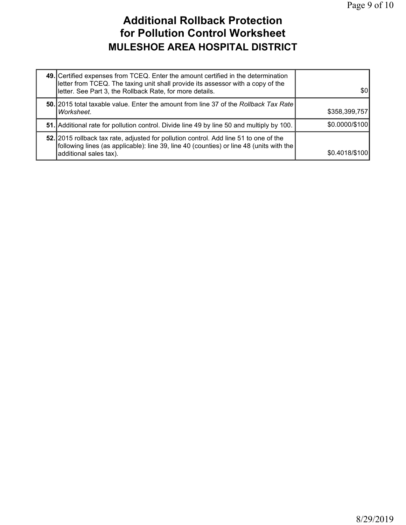### **Additional Rollback Protection for Pollution Control Worksheet MULESHOE AREA HOSPITAL DISTRICT**

| 49. Certified expenses from TCEQ. Enter the amount certified in the determination<br>letter from TCEQ. The taxing unit shall provide its assessor with a copy of the<br>letter. See Part 3, the Rollback Rate, for more details. | \$01           |
|----------------------------------------------------------------------------------------------------------------------------------------------------------------------------------------------------------------------------------|----------------|
| 50. 2015 total taxable value. Enter the amount from line 37 of the Rollback Tax Rate<br>Worksheet.                                                                                                                               | \$358,399,757  |
| 51. Additional rate for pollution control. Divide line 49 by line 50 and multiply by 100.                                                                                                                                        | \$0.0000/\$100 |
| 52. 2015 rollback tax rate, adjusted for pollution control. Add line 51 to one of the<br>following lines (as applicable): line 39, line 40 (counties) or line 48 (units with the<br>additional sales tax).                       | \$0.4018/\$100 |